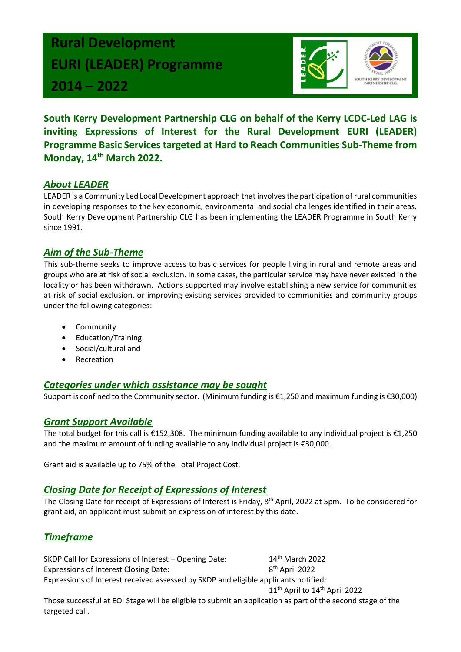# **Rural Development EURI (LEADER) Programme 2014 – 2022**



**South Kerry Development Partnership CLG on behalf of the Kerry LCDC-Led LAG is inviting Expressions of Interest for the Rural Development EURI (LEADER) Programme Basic Services targeted at Hard to Reach Communities Sub-Theme from Monday, 14th March 2022.**

### *About LEADER*

LEADER is a Community Led Local Development approach that involves the participation of rural communities in developing responses to the key economic, environmental and social challenges identified in their areas. South Kerry Development Partnership CLG has been implementing the LEADER Programme in South Kerry since 1991.

#### *Aim of the Sub-Theme*

This sub-theme seeks to improve access to basic services for people living in rural and remote areas and groups who are at risk of social exclusion. In some cases, the particular service may have never existed in the locality or has been withdrawn. Actions supported may involve establishing a new service for communities at risk of social exclusion, or improving existing services provided to communities and community groups under the following categories:

- **Community**
- Education/Training
- Social/cultural and
- **Recreation**

#### *Categories under which assistance may be sought*

Support is confined to the Community sector. (Minimum funding is €1,250 and maximum funding is €30,000)

#### *Grant Support Available*

The total budget for this call is €152,308. The minimum funding available to any individual project is €1,250 and the maximum amount of funding available to any individual project is €30,000.

Grant aid is available up to 75% of the Total Project Cost.

#### *Closing Date for Receipt of Expressions of Interest*

The Closing Date for receipt of Expressions of Interest is Friday, 8<sup>th</sup> April, 2022 at 5pm. To be considered for grant aid, an applicant must submit an expression of interest by this date.

## *Timeframe*

SKDP Call for Expressions of Interest – Opening Date: 14<sup>th</sup> March 2022 Expressions of Interest Closing Date: 8 8<sup>th</sup> April 2022

Expressions of Interest received assessed by SKDP and eligible applicants notified:

11<sup>th</sup> April to 14<sup>th</sup> April 2022

Those successful at EOI Stage will be eligible to submit an application as part of the second stage of the targeted call.